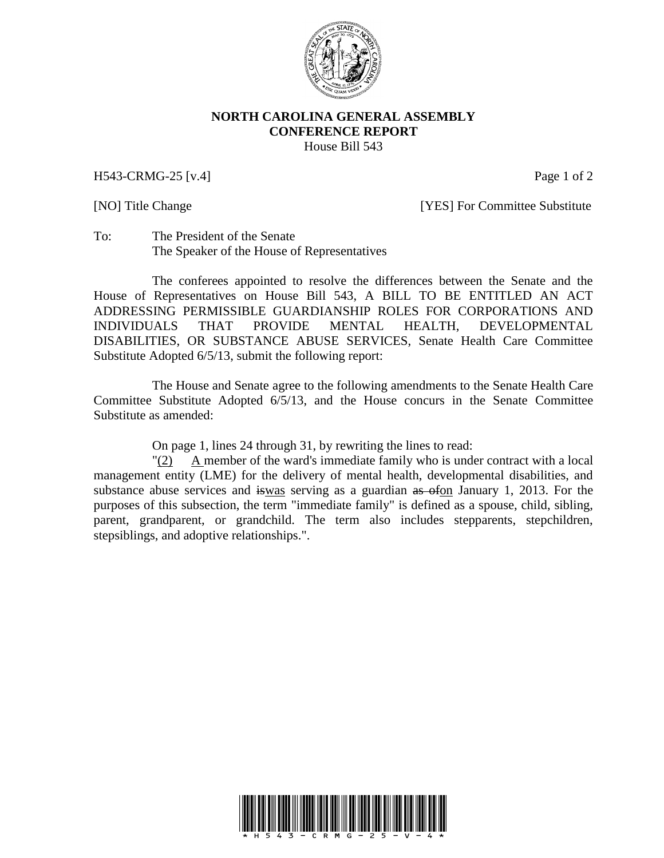

## **NORTH CAROLINA GENERAL ASSEMBLY CONFERENCE REPORT** House Bill 543

H543-CRMG-25 [v.4] Page 1 of 2

[NO] Title Change **[YES]** For Committee Substitute

To: The President of the Senate The Speaker of the House of Representatives

The conferees appointed to resolve the differences between the Senate and the House of Representatives on House Bill 543, A BILL TO BE ENTITLED AN ACT ADDRESSING PERMISSIBLE GUARDIANSHIP ROLES FOR CORPORATIONS AND INDIVIDUALS THAT PROVIDE MENTAL HEALTH, DEVELOPMENTAL DISABILITIES, OR SUBSTANCE ABUSE SERVICES, Senate Health Care Committee Substitute Adopted 6/5/13, submit the following report:

The House and Senate agree to the following amendments to the Senate Health Care Committee Substitute Adopted 6/5/13, and the House concurs in the Senate Committee Substitute as amended:

On page 1, lines 24 through 31, by rewriting the lines to read:

"(2) A member of the ward's immediate family who is under contract with a local management entity (LME) for the delivery of mental health, developmental disabilities, and substance abuse services and iswas serving as a guardian as ofon January 1, 2013. For the purposes of this subsection, the term "immediate family" is defined as a spouse, child, sibling, parent, grandparent, or grandchild. The term also includes stepparents, stepchildren, stepsiblings, and adoptive relationships.".